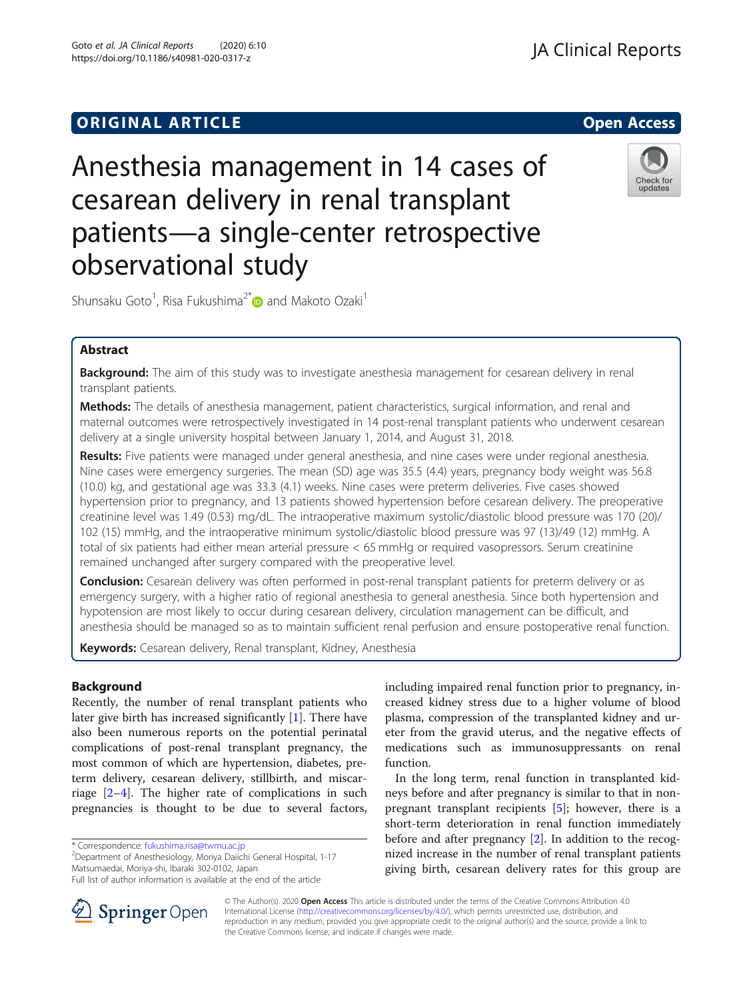Goto et al. JA Clinical Reports (2020) 6:10 https://doi.org/10.1186/s40981-020-0317-z

# Anesthesia management in 14 cases of cesarean delivery in renal transplant patients—a single-center retrospective observational study



Shunsaku Goto<sup>1</sup>, Risa Fukushima<sup>2[\\*](http://orcid.org/0000-0001-6074-5096)</sup> and Makoto Ozaki<sup>1</sup>

# Abstract

Background: The aim of this study was to investigate anesthesia management for cesarean delivery in renal transplant patients.

Methods: The details of anesthesia management, patient characteristics, surgical information, and renal and maternal outcomes were retrospectively investigated in 14 post-renal transplant patients who underwent cesarean delivery at a single university hospital between January 1, 2014, and August 31, 2018.

Results: Five patients were managed under general anesthesia, and nine cases were under regional anesthesia. Nine cases were emergency surgeries. The mean (SD) age was 35.5 (4.4) years, pregnancy body weight was 56.8 (10.0) kg, and gestational age was 33.3 (4.1) weeks. Nine cases were preterm deliveries. Five cases showed hypertension prior to pregnancy, and 13 patients showed hypertension before cesarean delivery. The preoperative creatinine level was 1.49 (0.53) mg/dL. The intraoperative maximum systolic/diastolic blood pressure was 170 (20)/ 102 (15) mmHg, and the intraoperative minimum systolic/diastolic blood pressure was 97 (13)/49 (12) mmHg. A total of six patients had either mean arterial pressure < 65 mmHg or required vasopressors. Serum creatinine remained unchanged after surgery compared with the preoperative level.

**Conclusion:** Cesarean delivery was often performed in post-renal transplant patients for preterm delivery or as emergency surgery, with a higher ratio of regional anesthesia to general anesthesia. Since both hypertension and hypotension are most likely to occur during cesarean delivery, circulation management can be difficult, and anesthesia should be managed so as to maintain sufficient renal perfusion and ensure postoperative renal function.

Keywords: Cesarean delivery, Renal transplant, Kidney, Anesthesia

# Background

Recently, the number of renal transplant patients who later give birth has increased significantly [[1\]](#page-5-0). There have also been numerous reports on the potential perinatal complications of post-renal transplant pregnancy, the most common of which are hypertension, diabetes, preterm delivery, cesarean delivery, stillbirth, and miscarriage [[2](#page-5-0)–[4](#page-5-0)]. The higher rate of complications in such pregnancies is thought to be due to several factors,

Department of Anesthesiology, Moriya Daiichi General Hospital, 1-17 Matsumaedai, Moriya-shi, Ibaraki 302-0102, Japan



In the long term, renal function in transplanted kidneys before and after pregnancy is similar to that in nonpregnant transplant recipients [\[5](#page-5-0)]; however, there is a short-term deterioration in renal function immediately before and after pregnancy [\[2](#page-5-0)]. In addition to the recognized increase in the number of renal transplant patients giving birth, cesarean delivery rates for this group are



© The Author(s). 2020 Open Access This article is distributed under the terms of the Creative Commons Attribution 4.0 International License ([http://creativecommons.org/licenses/by/4.0/\)](http://creativecommons.org/licenses/by/4.0/), which permits unrestricted use, distribution, and reproduction in any medium, provided you give appropriate credit to the original author(s) and the source, provide a link to the Creative Commons license, and indicate if changes were made.

<sup>\*</sup> Correspondence: [fukushima.risa@twmu.ac.jp](mailto:fukushima.risa@twmu.ac.jp) <sup>2</sup>

Full list of author information is available at the end of the article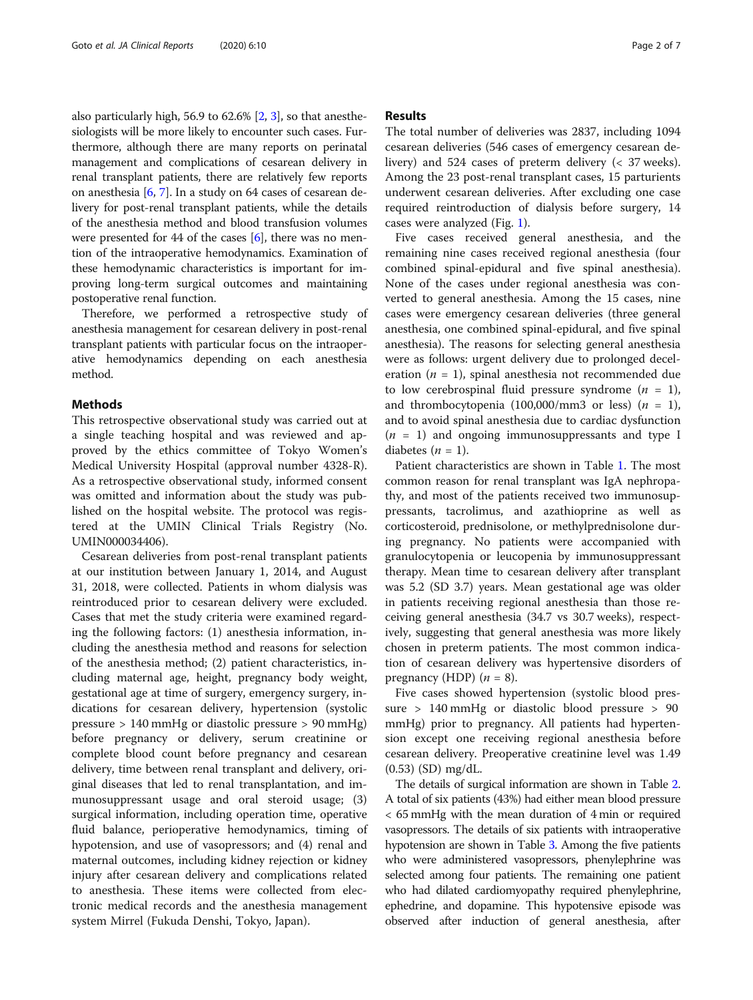also particularly high, 56.9 to 62.6% [\[2](#page-5-0), [3\]](#page-5-0), so that anesthesiologists will be more likely to encounter such cases. Furthermore, although there are many reports on perinatal management and complications of cesarean delivery in renal transplant patients, there are relatively few reports on anesthesia [\[6](#page-5-0), [7\]](#page-5-0). In a study on 64 cases of cesarean delivery for post-renal transplant patients, while the details of the anesthesia method and blood transfusion volumes were presented for 44 of the cases [\[6](#page-5-0)], there was no mention of the intraoperative hemodynamics. Examination of these hemodynamic characteristics is important for improving long-term surgical outcomes and maintaining postoperative renal function.

Therefore, we performed a retrospective study of anesthesia management for cesarean delivery in post-renal transplant patients with particular focus on the intraoperative hemodynamics depending on each anesthesia method.

#### **Methods**

This retrospective observational study was carried out at a single teaching hospital and was reviewed and approved by the ethics committee of Tokyo Women's Medical University Hospital (approval number 4328-R). As a retrospective observational study, informed consent was omitted and information about the study was published on the hospital website. The protocol was registered at the UMIN Clinical Trials Registry (No. UMIN000034406).

Cesarean deliveries from post-renal transplant patients at our institution between January 1, 2014, and August 31, 2018, were collected. Patients in whom dialysis was reintroduced prior to cesarean delivery were excluded. Cases that met the study criteria were examined regarding the following factors: (1) anesthesia information, including the anesthesia method and reasons for selection of the anesthesia method; (2) patient characteristics, including maternal age, height, pregnancy body weight, gestational age at time of surgery, emergency surgery, indications for cesarean delivery, hypertension (systolic pressure > 140 mmHg or diastolic pressure > 90 mmHg) before pregnancy or delivery, serum creatinine or complete blood count before pregnancy and cesarean delivery, time between renal transplant and delivery, original diseases that led to renal transplantation, and immunosuppressant usage and oral steroid usage; (3) surgical information, including operation time, operative fluid balance, perioperative hemodynamics, timing of hypotension, and use of vasopressors; and (4) renal and maternal outcomes, including kidney rejection or kidney injury after cesarean delivery and complications related to anesthesia. These items were collected from electronic medical records and the anesthesia management system Mirrel (Fukuda Denshi, Tokyo, Japan).

### Results

The total number of deliveries was 2837, including 1094 cesarean deliveries (546 cases of emergency cesarean delivery) and 524 cases of preterm delivery (< 37 weeks). Among the 23 post-renal transplant cases, 15 parturients underwent cesarean deliveries. After excluding one case required reintroduction of dialysis before surgery, 14 cases were analyzed (Fig. [1](#page-2-0)).

Five cases received general anesthesia, and the remaining nine cases received regional anesthesia (four combined spinal-epidural and five spinal anesthesia). None of the cases under regional anesthesia was converted to general anesthesia. Among the 15 cases, nine cases were emergency cesarean deliveries (three general anesthesia, one combined spinal-epidural, and five spinal anesthesia). The reasons for selecting general anesthesia were as follows: urgent delivery due to prolonged deceleration ( $n = 1$ ), spinal anesthesia not recommended due to low cerebrospinal fluid pressure syndrome  $(n = 1)$ , and thrombocytopenia  $(100,000/\text{mm}3 \text{ or } \text{less})$   $(n = 1)$ , and to avoid spinal anesthesia due to cardiac dysfunction  $(n = 1)$  and ongoing immunosuppressants and type I diabetes  $(n = 1)$ .

Patient characteristics are shown in Table [1.](#page-3-0) The most common reason for renal transplant was IgA nephropathy, and most of the patients received two immunosuppressants, tacrolimus, and azathioprine as well as corticosteroid, prednisolone, or methylprednisolone during pregnancy. No patients were accompanied with granulocytopenia or leucopenia by immunosuppressant therapy. Mean time to cesarean delivery after transplant was 5.2 (SD 3.7) years. Mean gestational age was older in patients receiving regional anesthesia than those receiving general anesthesia (34.7 vs 30.7 weeks), respectively, suggesting that general anesthesia was more likely chosen in preterm patients. The most common indication of cesarean delivery was hypertensive disorders of pregnancy (HDP)  $(n = 8)$ .

Five cases showed hypertension (systolic blood pressure > 140 mmHg or diastolic blood pressure > 90 mmHg) prior to pregnancy. All patients had hypertension except one receiving regional anesthesia before cesarean delivery. Preoperative creatinine level was 1.49 (0.53) (SD) mg/dL.

The details of surgical information are shown in Table [2](#page-4-0). A total of six patients (43%) had either mean blood pressure < 65 mmHg with the mean duration of 4 min or required vasopressors. The details of six patients with intraoperative hypotension are shown in Table [3.](#page-4-0) Among the five patients who were administered vasopressors, phenylephrine was selected among four patients. The remaining one patient who had dilated cardiomyopathy required phenylephrine, ephedrine, and dopamine. This hypotensive episode was observed after induction of general anesthesia, after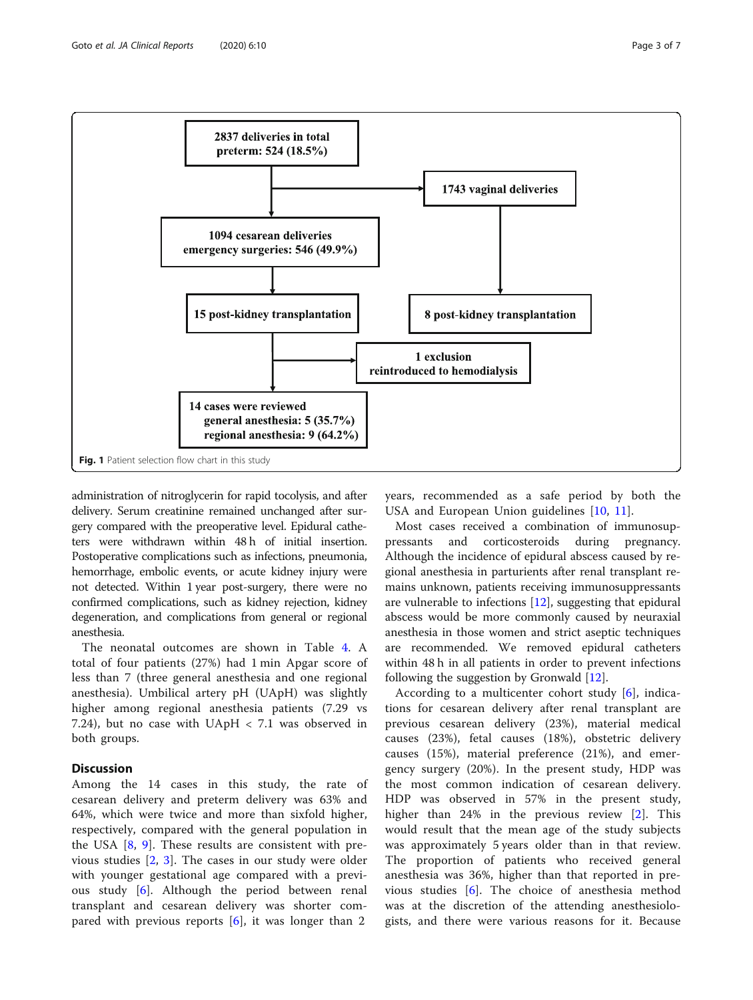<span id="page-2-0"></span>

administration of nitroglycerin for rapid tocolysis, and after delivery. Serum creatinine remained unchanged after surgery compared with the preoperative level. Epidural catheters were withdrawn within 48 h of initial insertion. Postoperative complications such as infections, pneumonia, hemorrhage, embolic events, or acute kidney injury were not detected. Within 1 year post-surgery, there were no confirmed complications, such as kidney rejection, kidney degeneration, and complications from general or regional anesthesia.

The neonatal outcomes are shown in Table [4](#page-5-0). A total of four patients (27%) had 1 min Apgar score of less than 7 (three general anesthesia and one regional anesthesia). Umbilical artery pH (UApH) was slightly higher among regional anesthesia patients (7.29 vs 7.24), but no case with UApH < 7.1 was observed in both groups.

# **Discussion**

Among the 14 cases in this study, the rate of cesarean delivery and preterm delivery was 63% and 64%, which were twice and more than sixfold higher, respectively, compared with the general population in the USA  $[8, 9]$  $[8, 9]$  $[8, 9]$  $[8, 9]$  $[8, 9]$ . These results are consistent with previous studies [\[2](#page-5-0), [3](#page-5-0)]. The cases in our study were older with younger gestational age compared with a previous study [[6\]](#page-5-0). Although the period between renal transplant and cesarean delivery was shorter compared with previous reports  $[6]$  $[6]$ , it was longer than 2

years, recommended as a safe period by both the USA and European Union guidelines [[10,](#page-5-0) [11](#page-5-0)].

Most cases received a combination of immunosuppressants and corticosteroids during pregnancy. Although the incidence of epidural abscess caused by regional anesthesia in parturients after renal transplant remains unknown, patients receiving immunosuppressants are vulnerable to infections [[12](#page-5-0)], suggesting that epidural abscess would be more commonly caused by neuraxial anesthesia in those women and strict aseptic techniques are recommended. We removed epidural catheters within 48 h in all patients in order to prevent infections following the suggestion by Gronwald [\[12\]](#page-5-0).

According to a multicenter cohort study [\[6](#page-5-0)], indications for cesarean delivery after renal transplant are previous cesarean delivery (23%), material medical causes (23%), fetal causes (18%), obstetric delivery causes (15%), material preference (21%), and emergency surgery (20%). In the present study, HDP was the most common indication of cesarean delivery. HDP was observed in 57% in the present study, higher than 24% in the previous review [[2\]](#page-5-0). This would result that the mean age of the study subjects was approximately 5 years older than in that review. The proportion of patients who received general anesthesia was 36%, higher than that reported in previous studies [[6](#page-5-0)]. The choice of anesthesia method was at the discretion of the attending anesthesiologists, and there were various reasons for it. Because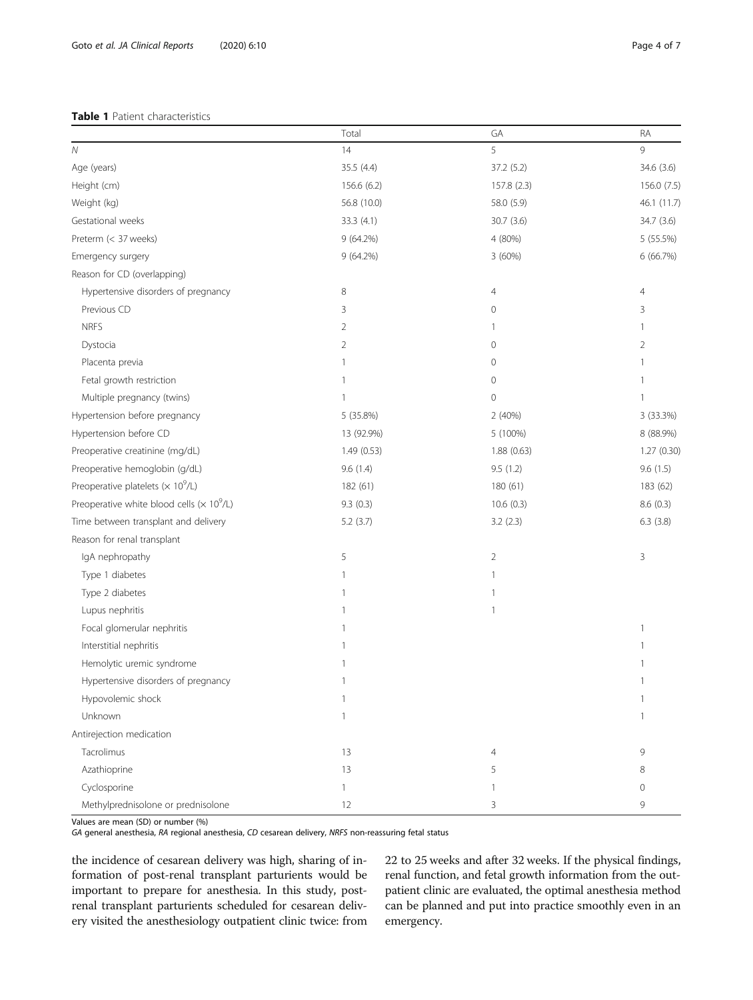### <span id="page-3-0"></span>Table 1 Patient characteristics

|                                                               | Total          | GA          | RA             |
|---------------------------------------------------------------|----------------|-------------|----------------|
| $\mathcal N$                                                  | 14             | 5           | $\circ$        |
| Age (years)                                                   | 35.5 (4.4)     | 37.2 (5.2)  | 34.6 (3.6)     |
| Height (cm)                                                   | 156.6 (6.2)    | 157.8 (2.3) | 156.0 (7.5)    |
| Weight (kg)                                                   | 56.8 (10.0)    | 58.0 (5.9)  | 46.1 (11.7)    |
| Gestational weeks                                             | 33.3 (4.1)     | 30.7(3.6)   | 34.7 (3.6)     |
| Preterm (< 37 weeks)                                          | 9 (64.2%)      | 4 (80%)     | 5 (55.5%)      |
| Emergency surgery                                             | $9(64.2\%)$    | 3 (60%)     | 6 (66.7%)      |
| Reason for CD (overlapping)                                   |                |             |                |
| Hypertensive disorders of pregnancy                           | 8              | 4           | $\overline{4}$ |
| Previous CD                                                   | 3              | 0           | 3              |
| <b>NRFS</b>                                                   | 2              |             | 1              |
| Dystocia                                                      | $\overline{2}$ | 0           | $\overline{2}$ |
| Placenta previa                                               | 1              | 0           | 1              |
| Fetal growth restriction                                      | 1              | 0           | 1              |
| Multiple pregnancy (twins)                                    | 1              | 0           | 1              |
| Hypertension before pregnancy                                 | 5 (35.8%)      | 2(40%)      | 3 (33.3%)      |
| Hypertension before CD                                        | 13 (92.9%)     | 5 (100%)    | 8 (88.9%)      |
| Preoperative creatinine (mg/dL)                               | 1.49(0.53)     | 1.88(0.63)  | 1.27 (0.30)    |
| Preoperative hemoglobin (g/dL)                                | 9.6(1.4)       | 9.5(1.2)    | 9.6(1.5)       |
| Preoperative platelets ( $\times$ 10 <sup>9</sup> /L)         | 182 (61)       | 180 (61)    | 183 (62)       |
| Preoperative white blood cells ( $\times$ 10 <sup>9</sup> /L) | 9.3(0.3)       | 10.6(0.3)   | 8.6(0.3)       |
| Time between transplant and delivery                          | 5.2(3.7)       | 3.2(2.3)    | 6.3(3.8)       |
| Reason for renal transplant                                   |                |             |                |
| IgA nephropathy                                               | 5              | 2           | 3              |
| Type 1 diabetes                                               | 1              | 1           |                |
| Type 2 diabetes                                               | 1              |             |                |
| Lupus nephritis                                               | 1              | 1           |                |
| Focal glomerular nephritis                                    | 1              |             | 1              |
| Interstitial nephritis                                        | 1              |             | 1              |
| Hemolytic uremic syndrome                                     | 1              |             | 1              |
| Hypertensive disorders of pregnancy                           | 1              |             | 1              |
| Hypovolemic shock                                             | $\mathbf{1}$   |             | $\mathbf{1}$   |
| Unknown                                                       | $\mathbf{1}$   |             | $\mathbf{1}$   |
| Antirejection medication                                      |                |             |                |
| Tacrolimus                                                    | 13             | 4           | 9              |
| Azathioprine                                                  | 13             | 5           | 8              |
| Cyclosporine                                                  | $\mathbf{1}$   | 1           | $\mathbf 0$    |
| Methylprednisolone or prednisolone                            | 12             | 3           | 9              |

Values are mean (SD) or number (%)

GA general anesthesia, RA regional anesthesia, CD cesarean delivery, NRFS non-reassuring fetal status

the incidence of cesarean delivery was high, sharing of information of post-renal transplant parturients would be important to prepare for anesthesia. In this study, postrenal transplant parturients scheduled for cesarean delivery visited the anesthesiology outpatient clinic twice: from 22 to 25 weeks and after 32 weeks. If the physical findings, renal function, and fetal growth information from the outpatient clinic are evaluated, the optimal anesthesia method can be planned and put into practice smoothly even in an emergency.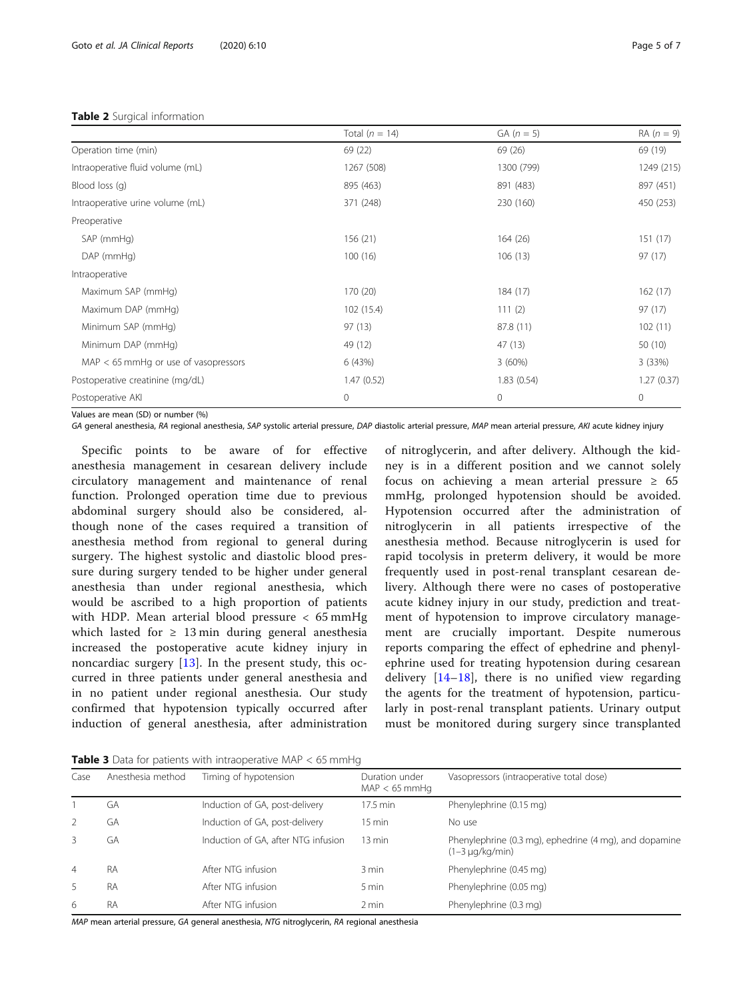#### <span id="page-4-0"></span>Table 2 Surgical information

|                                        | Total ( $n = 14$ ) | $GA (n = 5)$ | $RA(n = 9)$ |  |
|----------------------------------------|--------------------|--------------|-------------|--|
| Operation time (min)                   | 69 (22)            | 69 (26)      | 69 (19)     |  |
| Intraoperative fluid volume (mL)       | 1267 (508)         | 1300 (799)   | 1249 (215)  |  |
| Blood loss (q)                         | 895 (463)          | 891 (483)    | 897 (451)   |  |
| Intraoperative urine volume (mL)       | 371 (248)          | 230 (160)    | 450 (253)   |  |
| Preoperative                           |                    |              |             |  |
| SAP (mmHg)                             | 156 (21)           | 164(26)      | 151(17)     |  |
| DAP (mmHg)                             | 100(16)            | 106(13)      | 97(17)      |  |
| Intraoperative                         |                    |              |             |  |
| Maximum SAP (mmHg)                     | 170 (20)           | 184 (17)     | 162(17)     |  |
| Maximum DAP (mmHg)                     | 102 (15.4)         | 111(2)       | 97(17)      |  |
| Minimum SAP (mmHg)                     | 97(13)             | 87.8 (11)    | 102(11)     |  |
| Minimum DAP (mmHg)                     | 49 (12)            | 47 (13)      | 50(10)      |  |
| $MAP < 65$ mmHq or use of vasopressors | 6 (43%)            | 3(60%)       | 3(33%)      |  |
| Postoperative creatinine (mg/dL)       | 1.47(0.52)         | 1.83(0.54)   | 1.27(0.37)  |  |
| Postoperative AKI                      | $\mathbf{0}$       | $\mathbf 0$  | $\mathbf 0$ |  |

Values are mean (SD) or number (%)

GA general anesthesia, RA regional anesthesia, SAP systolic arterial pressure, DAP diastolic arterial pressure, MAP mean arterial pressure, AKI acute kidney injury

Specific points to be aware of for effective anesthesia management in cesarean delivery include circulatory management and maintenance of renal function. Prolonged operation time due to previous abdominal surgery should also be considered, although none of the cases required a transition of anesthesia method from regional to general during surgery. The highest systolic and diastolic blood pressure during surgery tended to be higher under general anesthesia than under regional anesthesia, which would be ascribed to a high proportion of patients with HDP. Mean arterial blood pressure < 65 mmHg which lasted for  $\geq$  13 min during general anesthesia increased the postoperative acute kidney injury in noncardiac surgery [[13\]](#page-5-0). In the present study, this occurred in three patients under general anesthesia and in no patient under regional anesthesia. Our study confirmed that hypotension typically occurred after induction of general anesthesia, after administration

of nitroglycerin, and after delivery. Although the kidney is in a different position and we cannot solely focus on achieving a mean arterial pressure  $\geq 65$ mmHg, prolonged hypotension should be avoided. Hypotension occurred after the administration of nitroglycerin in all patients irrespective of the anesthesia method. Because nitroglycerin is used for rapid tocolysis in preterm delivery, it would be more frequently used in post-renal transplant cesarean delivery. Although there were no cases of postoperative acute kidney injury in our study, prediction and treatment of hypotension to improve circulatory management are crucially important. Despite numerous reports comparing the effect of ephedrine and phenylephrine used for treating hypotension during cesarean delivery  $[14-18]$  $[14-18]$  $[14-18]$  $[14-18]$ , there is no unified view regarding the agents for the treatment of hypotension, particularly in post-renal transplant patients. Urinary output must be monitored during surgery since transplanted

**Table 3** Data for patients with intraoperative MAP  $<$  65 mmHg

| Case           | Anesthesia method | Timing of hypotension               | Duration under<br>$MAP < 65$ mmHq | Vasopressors (intraoperative total dose)                                       |
|----------------|-------------------|-------------------------------------|-----------------------------------|--------------------------------------------------------------------------------|
|                | GА                | Induction of GA, post-delivery      | $17.5$ min                        | Phenylephrine (0.15 mg)                                                        |
| 2              | GA                | Induction of GA, post-delivery      | $15 \text{ min}$                  | No use                                                                         |
| 3              | GA                | Induction of GA, after NTG infusion | $13 \text{ min}$                  | Phenylephrine (0.3 mg), ephedrine (4 mg), and dopamine<br>$(1-3 \mu q/kg/min)$ |
| $\overline{4}$ | RA                | After NTG infusion                  | 3 min                             | Phenylephrine (0.45 mg)                                                        |
| 5              | RA                | After NTG infusion                  | 5 min                             | Phenylephrine (0.05 mg)                                                        |
| 6              | <b>RA</b>         | After NTG infusion                  | 2 min                             | Phenylephrine (0.3 mg)                                                         |

MAP mean arterial pressure, GA general anesthesia, NTG nitroglycerin, RA regional anesthesia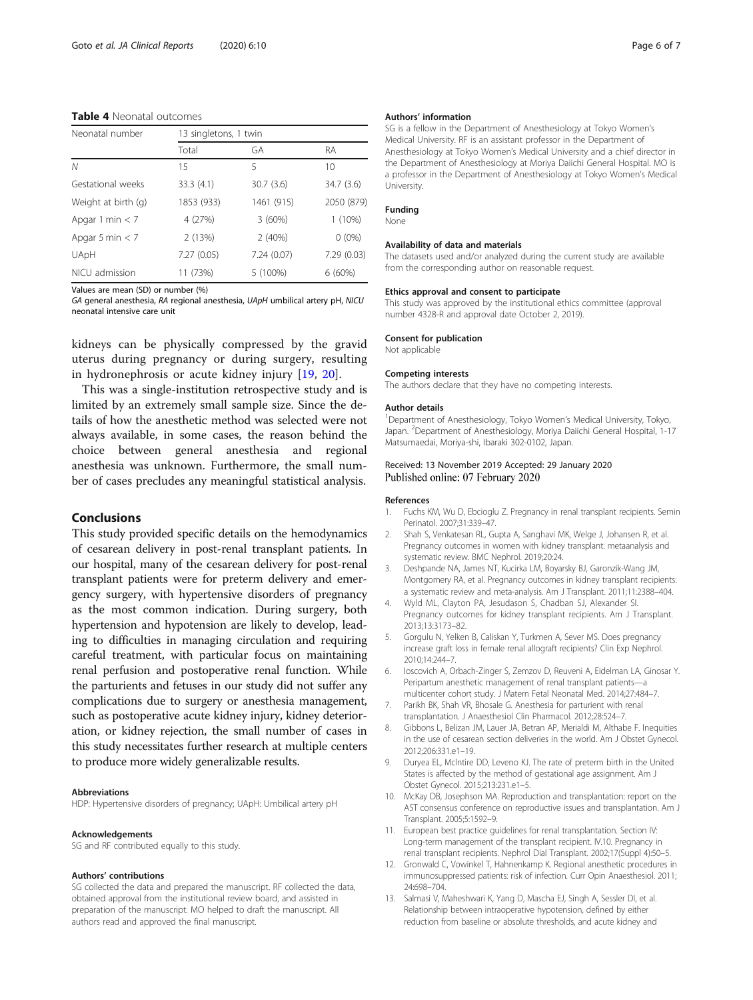#### <span id="page-5-0"></span>Table 4 Neonatal outcomes

| Neonatal number     | 13 singletons, 1 twin |            |            |
|---------------------|-----------------------|------------|------------|
|                     | Total                 | GA         | <b>RA</b>  |
| N                   | 15                    | 5          | 10         |
| Gestational weeks   | 33.3(4.1)             | 30.7(3.6)  | 34.7(3.6)  |
| Weight at birth (g) | 1853 (933)            | 1461 (915) | 2050 (879) |
| Apgar 1 min $<$ 7   | 4 (27%)               | 3(60%)     | $1(10\%)$  |
| Apgar 5 min $<$ 7   | 2(13%)                | 2(40%)     | $0(0\%)$   |
| UApH                | 7.27(0.05)            | 7.24(0.07) | 7.29(0.03) |
| NICU admission      | 11 (73%)              | 5 (100%)   | 6(60%)     |

Values are mean (SD) or number (%)

GA general anesthesia, RA regional anesthesia, UApH umbilical artery pH, NICU neonatal intensive care unit

kidneys can be physically compressed by the gravid uterus during pregnancy or during surgery, resulting in hydronephrosis or acute kidney injury [[19,](#page-6-0) [20\]](#page-6-0).

This was a single-institution retrospective study and is limited by an extremely small sample size. Since the details of how the anesthetic method was selected were not always available, in some cases, the reason behind the choice between general anesthesia and regional anesthesia was unknown. Furthermore, the small number of cases precludes any meaningful statistical analysis.

# Conclusions

This study provided specific details on the hemodynamics of cesarean delivery in post-renal transplant patients. In our hospital, many of the cesarean delivery for post-renal transplant patients were for preterm delivery and emergency surgery, with hypertensive disorders of pregnancy as the most common indication. During surgery, both hypertension and hypotension are likely to develop, leading to difficulties in managing circulation and requiring careful treatment, with particular focus on maintaining renal perfusion and postoperative renal function. While the parturients and fetuses in our study did not suffer any complications due to surgery or anesthesia management, such as postoperative acute kidney injury, kidney deterioration, or kidney rejection, the small number of cases in this study necessitates further research at multiple centers to produce more widely generalizable results.

#### Abbreviations

HDP: Hypertensive disorders of pregnancy; UApH: Umbilical artery pH

#### Acknowledgements

SG and RF contributed equally to this study.

#### Authors' contributions

SG collected the data and prepared the manuscript. RF collected the data, obtained approval from the institutional review board, and assisted in preparation of the manuscript. MO helped to draft the manuscript. All authors read and approved the final manuscript.

#### Authors' information

SG is a fellow in the Department of Anesthesiology at Tokyo Women's Medical University. RF is an assistant professor in the Department of Anesthesiology at Tokyo Women's Medical University and a chief director in the Department of Anesthesiology at Moriya Daiichi General Hospital. MO is a professor in the Department of Anesthesiology at Tokyo Women's Medical University.

#### Funding

#### None

#### Availability of data and materials

The datasets used and/or analyzed during the current study are available from the corresponding author on reasonable request.

#### Ethics approval and consent to participate

This study was approved by the institutional ethics committee (approval number 4328-R and approval date October 2, 2019).

#### Consent for publication

Not applicable Competing interests

# The authors declare that they have no competing interests.

#### Author details

<sup>1</sup>Department of Anesthesiology, Tokyo Women's Medical University, Tokyo, Japan. <sup>2</sup> Department of Anesthesiology, Moriya Daiichi General Hospital, 1-17 Matsumaedai, Moriya-shi, Ibaraki 302-0102, Japan.

#### Received: 13 November 2019 Accepted: 29 January 2020 Published online: 07 February 2020

#### References

- 1. Fuchs KM, Wu D, Ebcioglu Z. Pregnancy in renal transplant recipients. Semin Perinatol. 2007;31:339–47.
- 2. Shah S, Venkatesan RL, Gupta A, Sanghavi MK, Welge J, Johansen R, et al. Pregnancy outcomes in women with kidney transplant: metaanalysis and systematic review. BMC Nephrol. 2019;20:24.
- 3. Deshpande NA, James NT, Kucirka LM, Boyarsky BJ, Garonzik-Wang JM, Montgomery RA, et al. Pregnancy outcomes in kidney transplant recipients: a systematic review and meta-analysis. Am J Transplant. 2011;11:2388–404.
- 4. Wyld ML, Clayton PA, Jesudason S, Chadban SJ, Alexander SI. Pregnancy outcomes for kidney transplant recipients. Am J Transplant. 2013;13:3173–82.
- 5. Gorgulu N, Yelken B, Caliskan Y, Turkmen A, Sever MS. Does pregnancy increase graft loss in female renal allograft recipients? Clin Exp Nephrol. 2010;14:244–7.
- 6. Ioscovich A, Orbach-Zinger S, Zemzov D, Reuveni A, Eidelman LA, Ginosar Y. Peripartum anesthetic management of renal transplant patients—a multicenter cohort study. J Matern Fetal Neonatal Med. 2014;27:484–7.
- 7. Parikh BK, Shah VR, Bhosale G. Anesthesia for parturient with renal transplantation. J Anaesthesiol Clin Pharmacol. 2012;28:524–7.
- 8. Gibbons L, Belizan JM, Lauer JA, Betran AP, Merialdi M, Althabe F. Inequities in the use of cesarean section deliveries in the world. Am J Obstet Gynecol. 2012;206:331.e1–19.
- 9. Duryea EL, Mclntire DD, Leveno KJ. The rate of preterm birth in the United States is affected by the method of gestational age assignment. Am J Obstet Gynecol. 2015;213:231.e1–5.
- 10. McKay DB, Josephson MA. Reproduction and transplantation: report on the AST consensus conference on reproductive issues and transplantation. Am J Transplant. 2005;5:1592–9.
- 11. European best practice guidelines for renal transplantation. Section IV: Long-term management of the transplant recipient. IV.10. Pregnancy in renal transplant recipients. Nephrol Dial Transplant. 2002;17(Suppl 4):50–5.
- 12. Gronwald C, Vowinkel T, Hahnenkamp K. Regional anesthetic procedures in immunosuppressed patients: risk of infection. Curr Opin Anaesthesiol. 2011; 24:698–704.
- 13. Salmasi V, Maheshwari K, Yang D, Mascha EJ, Singh A, Sessler DI, et al. Relationship between intraoperative hypotension, defined by either reduction from baseline or absolute thresholds, and acute kidney and